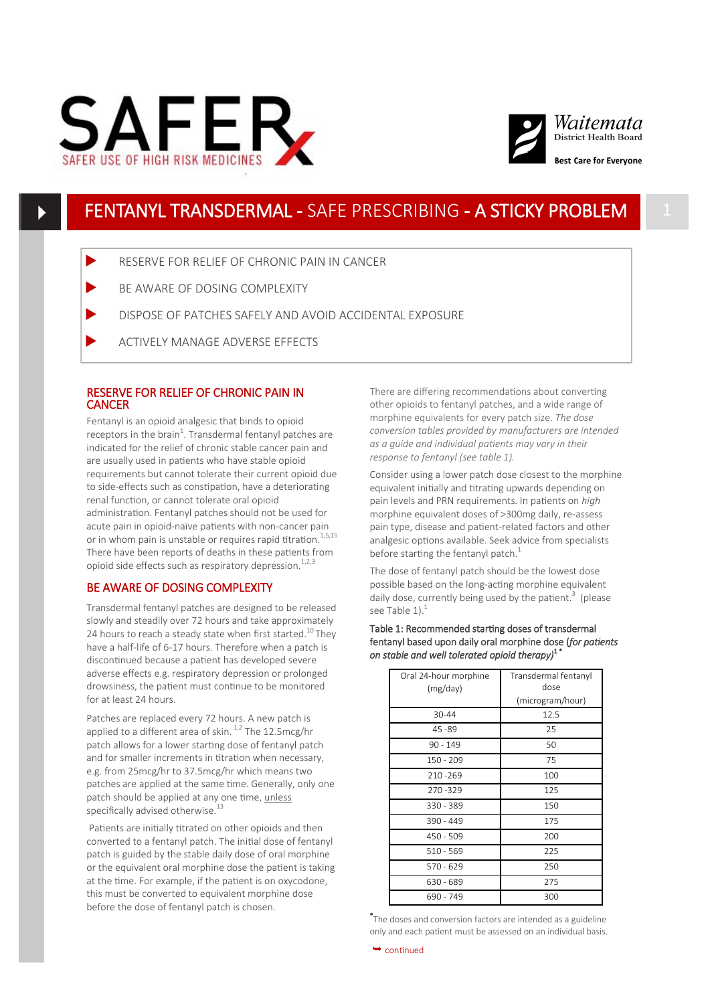



## FENTANYL TRANSDERMAL - SAFE PRESCRIBING - A STICKY PROBLEM 1

- RESERVE FOR RELIEF OF CHRONIC PAIN IN CANCER
- BE AWARE OF DOSING COMPLEXITY
- DISPOSE OF PATCHES SAFELY AND AVOID ACCIDENTAL EXPOSURE
- ACTIVELY MANAGE ADVERSE EFFECTS

## RESERVE FOR RELIEF OF CHRONIC PAIN IN **CANCER**

Fentanyl is an opioid analgesic that binds to opioid receptors in the brain<sup>1</sup>. Transdermal fentanyl patches are indicated for the relief of chronic stable cancer pain and are usually used in patients who have stable opioid requirements but cannot tolerate their current opioid due to side-effects such as constipation, have a deteriorating renal function, or cannot tolerate oral opioid administration. Fentanyl patches should not be used for acute pain in opioid-naïve patients with non-cancer pain or in whom pain is unstable or requires rapid titration.<sup>1,5,15</sup> There have been reports of deaths in these patients from opioid side effects such as respiratory depression.<sup>1,2,3</sup>

## BE AWARE OF DOSING COMPLEXITY

Transdermal fentanyl patches are designed to be released slowly and steadily over 72 hours and take approximately 24 hours to reach a steady state when first started.<sup>10</sup>They have a half-life of 6-17 hours. Therefore when a patch is discontinued because a patient has developed severe adverse effects e.g. respiratory depression or prolonged drowsiness, the patient must continue to be monitored for at least 24 hours.

Patches are replaced every 72 hours. A new patch is applied to a different area of skin.  $1/2$  The 12.5mcg/hr patch allows for a lower starting dose of fentanyl patch and for smaller increments in titration when necessary, e.g. from 25mcg/hr to 37.5mcg/hr which means two patches are applied at the same time. Generally, only one patch should be applied at any one time, unless specifically advised otherwise.<sup>13</sup>

Patients are initially titrated on other opioids and then converted to a fentanyl patch. The initial dose of fentanyl patch is guided by the stable daily dose of oral morphine or the equivalent oral morphine dose the patient is taking at the time. For example, if the patient is on oxycodone, this must be converted to equivalent morphine dose before the dose of fentanyl patch is chosen.

There are differing recommendations about converting other opioids to fentanyl patches, and a wide range of morphine equivalents for every patch size. *The dose conversion tables provided by manufacturers are intended as a guide and individual patients may vary in their response to fentanyl (see table 1).* 

Consider using a lower patch dose closest to the morphine equivalent initially and titrating upwards depending on pain levels and PRN requirements. In patients on *high* morphine equivalent doses of >300mg daily, re-assess pain type, disease and patient-related factors and other analgesic options available. Seek advice from specialists before starting the fentanyl patch. $1$ 

The dose of fentanyl patch should be the lowest dose possible based on the long-acting morphine equivalent daily dose, currently being used by the patient.<sup>3</sup> (please see Table  $1$ ).<sup>1</sup>

#### Table 1: Recommended starting doses of transdermal fentanyl based upon daily oral morphine dose (*for patients on stable and well tolerated opioid therapy)*1 \* i,

| Oral 24-hour morphine<br>(mg/day) | Transdermal fentanyl<br>dose |
|-----------------------------------|------------------------------|
|                                   | (microgram/hour)             |
| 30-44                             | 12.5                         |
| $45 - 89$                         | 25                           |
| $90 - 149$                        | 50                           |
| $150 - 209$                       | 75                           |
| 210-269                           | 100                          |
| 270-329                           | 125                          |
| 330 - 389                         | 150                          |
| $390 - 449$                       | 175                          |
| 450 - 509                         | 200                          |
| $510 - 569$                       | 225                          |
| $570 - 629$                       | 250                          |
| $630 - 689$                       | 275                          |
| 690 - 749                         | 300                          |

\* The doses and conversion factors are intended as a guideline only and each patient must be assessed on an individual basis.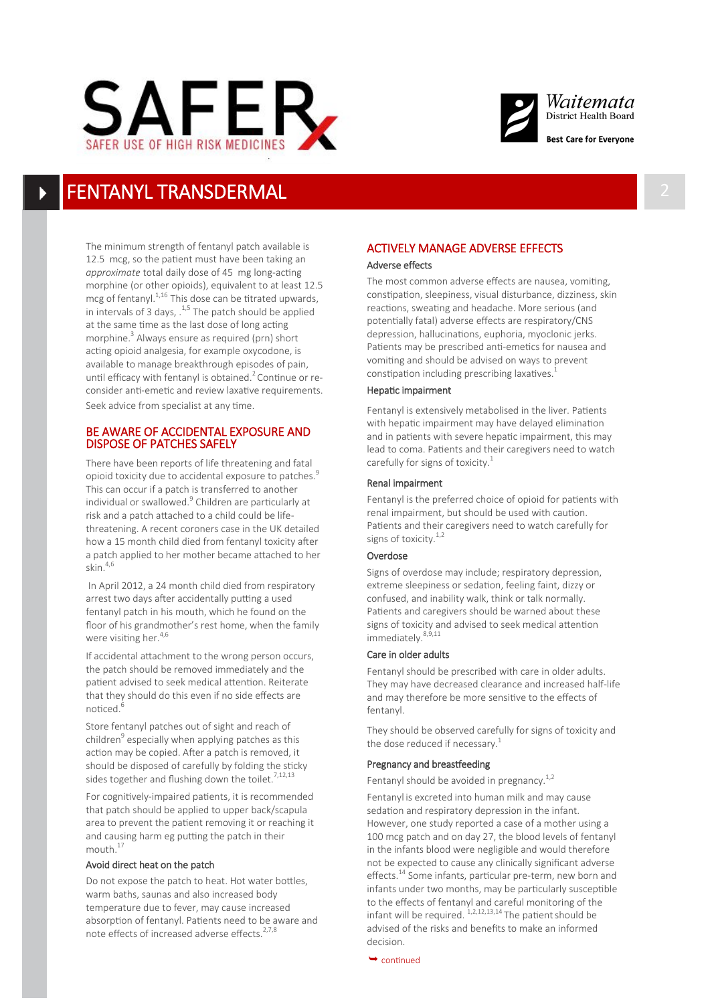



# FENTANYL TRANSDERMAL

The minimum strength of fentanyl patch available is 12.5 mcg, so the patient must have been taking an *approximate* total daily dose of 45 mg long-acting morphine (or other opioids), equivalent to at least 12.5 mcg of fentanyl. $1,16$  This dose can be titrated upwards, in intervals of 3 days,  $.^{1,5}$  The patch should be applied at the same time as the last dose of long acting morphine.<sup>3</sup> Always ensure as required (prn) short acting opioid analgesia, for example oxycodone, is available to manage breakthrough episodes of pain, until efficacy with fentanyl is obtained.<sup>2</sup> Continue or reconsider anti-emetic and review laxative requirements. Seek advice from specialist at any time.

## BE AWARE OF ACCIDENTAL EXPOSURE AND DISPOSE OF PATCHES SAFELY

There have been reports of life threatening and fatal opioid toxicity due to accidental exposure to patches.<sup>9</sup> This can occur if a patch is transferred to another individual or swallowed.<sup>9</sup> Children are particularly at risk and a patch attached to a child could be lifethreatening. A recent coroners case in the UK detailed how a 15 month child died from fentanyl toxicity after a patch applied to her mother became attached to her skin.4,6

In April 2012, a 24 month child died from respiratory arrest two days after accidentally putting a used fentanyl patch in his mouth, which he found on the floor of his grandmother's rest home, when the family were visiting her.<sup>4,6</sup>

If accidental attachment to the wrong person occurs, the patch should be removed immediately and the patient advised to seek medical attention. Reiterate that they should do this even if no side effects are noticed. $<sup>6</sup>$ </sup>

Store fentanyl patches out of sight and reach of children<sup>9</sup> especially when applying patches as this action may be copied. After a patch is removed, it should be disposed of carefully by folding the sticky sides together and flushing down the toilet.<sup>7,12,13</sup>

For cognitively-impaired patients, it is recommended that patch should be applied to upper back/scapula area to prevent the patient removing it or reaching it and causing harm eg putting the patch in their mouth.<sup>17</sup>

#### Avoid direct heat on the patch

Do not expose the patch to heat. Hot water bottles, warm baths, saunas and also increased body temperature due to fever, may cause increased absorption of fentanyl. Patients need to be aware and note effects of increased adverse effects. $27,8$ 

## ACTIVELY MANAGE ADVERSE EFFECTS Adverse effects

The most common adverse effects are nausea, vomiting, constipation, sleepiness, visual disturbance, dizziness, skin reactions, sweating and headache. More serious (and potentially fatal) adverse effects are respiratory/CNS depression, hallucinations, euphoria, myoclonic jerks. Patients may be prescribed anti-emetics for nausea and vomiting and should be advised on ways to prevent constipation including prescribing laxatives.<sup>1</sup>

### Hepatic impairment

Fentanyl is extensively metabolised in the liver. Patients with hepatic impairment may have delayed elimination and in patients with severe hepatic impairment, this may lead to coma. Patients and their caregivers need to watch carefully for signs of toxicity.<sup>1</sup>

#### Renal impairment

Fentanyl is the preferred choice of opioid for patients with renal impairment, but should be used with caution. Patients and their caregivers need to watch carefully for signs of toxicity. $1,2$ 

#### Overdose

Signs of overdose may include; respiratory depression, extreme sleepiness or sedation, feeling faint, dizzy or confused, and inability walk, think or talk normally. Patients and caregivers should be warned about these signs of toxicity and advised to seek medical attention immediately. 8,9,11

#### Care in older adults

Fentanyl should be prescribed with care in older adults. They may have decreased clearance and increased half-life and may therefore be more sensitive to the effects of fentanyl.

They should be observed carefully for signs of toxicity and the dose reduced if necessary.<sup>1</sup>

## Pregnancy and breastfeeding

Fentanyl should be avoided in pregnancy.<sup>1,2</sup>

Fentanyl is excreted into human milk and may cause sedation and respiratory depression in the infant. However, one study reported a case of a mother using a 100 mcg patch and on day 27, the blood levels of fentanyl in the infants blood were negligible and would therefore not be expected to cause any clinically significant adverse effects.<sup>14</sup> Some infants, particular pre-term, new born and infants under two months, may be particularly susceptible to the effects of fentanyl and careful monitoring of the infant will be required.  $^{1,2,12,13,14}$  The patient should be advised of the risks and benefits to make an informed decision.